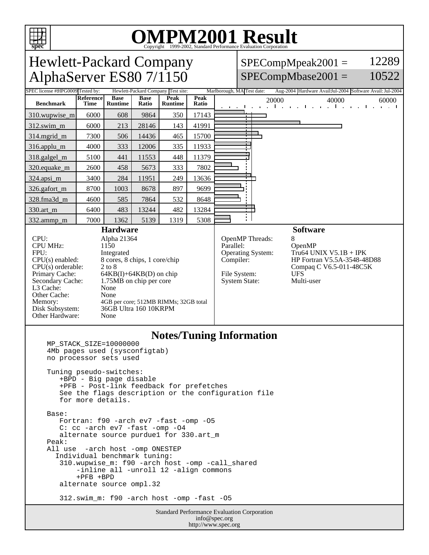

# OMPM2001 Result to Evaluation Corporation

#### $SPECompMpeak2001 =$  $SPECompMbase2001 =$ 12289 10522

**spec** Hewlett-Packard Company AlphaServer ES80 7/1150 Tested by: Hewlett-Packard Company Test site: Marlborough, MA Test date: Aug-2004 Hardware Avail:Jul-2004 Software Avail: Jul-2004 **Reference Base Base Peak Peak Ratio** 20000 40000 60000 **Benchmark Runtime Time Ratio Runtime** 310.wupwise\_m 6000 608 9864 350 17143 312.swim\_m 6000 213 28146 143 41991 314.mgrid\_m 7300 506 14436 465 15700 316.applu\_m 4000 333 12006 335 11933 318.galgel\_m | 5100 441 | 11553 448 | 11379 320.equake\_m | 2600 | 458 | 5673 | 333 | 7802 324.apsi\_m 3400 284 11951 249 13636 326.gafort\_m | 8700 | 1003 | 8678 | 897 | 9699 328.fma3d\_m | 4600 | 585 | 7864 | 532 | 8648 330.art\_m 6400 483 13244 482 13284 ł. 332.ammp\_m | 7000 | 1362 | 5139 | 1319 | 5308 **Hardware Software** CPU: Alpha 21364<br>CPU MHz: 1150 OpenMP Threads: 8<br>Parallel: C CPU MHz: OpenMP Operating System: Tru64 UNIX V5.1B + IPK FPU: Integrated CPU(s) enabled: 8 cores, 8 chips, 1 core/chip Compiler: HP Fortran V5.5A-3548-48D88 CPU(s) orderable: 2 to 8<br>Primary Cache: 64KB Compaq C V6.5-011-48C5K Primary Cache: 64KB(I)+64KB(D) on chip<br>Secondary Cache: 1.75MB on chip per core File System: UFS<br>System State: Multi-user 1.75MB on chip per core System State: L3 Cache: None<br>
Other Cache: None Other Cache: Memory: 4GB per core; 512MB RIMMs; 32GB total<br>Disk Subsystem: 36GB Ultra 160 10KRPM 36GB Ultra 160 10KRPM Other Hardware: None

#### **Notes/Tuning Information**

 MP\_STACK\_SIZE=10000000 4Mb pages used (sysconfigtab) no processor sets used Tuning pseudo-switches: +BPD - Big page disable +PFB - Post-link feedback for prefetches See the flags description or the configuration file for more details. Base: Fortran: f90 -arch ev7 -fast -omp -O5 C: cc -arch ev7 -fast -omp -O4 alternate source purdue1 for 330.art\_m Peak: All use -arch host -omp ONESTEP Individual benchmark tuning: 310.wupwise\_m: f90 -arch host -omp -call\_shared -inline all -unroll 12 -align commons +PFB +BPD alternate source ompl.32 312.swim\_m: f90 -arch host -omp -fast -O5

> Standard Performance Evaluation Corporation info@spec.org http://www.spec.org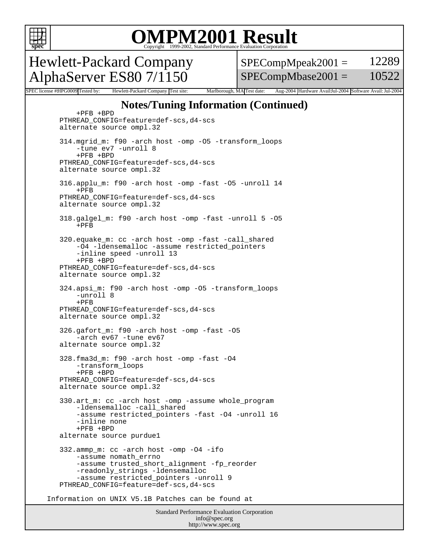

### OMPM2001 Result to Evaluation Corporation

Hewlett-Packard Company AlphaServer ES80 7/1150

 $SPECompMpeak2001 =$ SPECompMbase2001 = 12289 10522

SPEC license #HPG0009 Tested by: Hewlett-Packard Company Test site: Marlborough, MA Test date: Aug-2004 Hardware Avail:Jul-2004 Software Avail: Jul-2004

### **Notes/Tuning Information (Continued)**

Standard Performance Evaluation Corporation info@spec.org +PFB +BPD PTHREAD\_CONFIG=feature=def-scs,d4-scs alternate source ompl.32 314.mgrid\_m: f90 -arch host -omp -O5 -transform\_loops -tune ev7 -unroll 8 +PFB +BPD PTHREAD\_CONFIG=feature=def-scs,d4-scs alternate source ompl.32 316.applu\_m: f90 -arch host -omp -fast -O5 -unroll 14 +PFB PTHREAD\_CONFIG=feature=def-scs,d4-scs alternate source ompl.32 318.galgel\_m: f90 -arch host -omp -fast -unroll 5 -O5  $+$ PFB 320.equake\_m: cc -arch host -omp -fast -call\_shared -O4 -ldensemalloc -assume restricted\_pointers -inline speed -unroll 13 +PFB +BPD PTHREAD\_CONFIG=feature=def-scs,d4-scs alternate source ompl.32 324.apsi\_m: f90 -arch host -omp -O5 -transform\_loops -unroll 8  $+$ PFB PTHREAD\_CONFIG=feature=def-scs,d4-scs alternate source ompl.32 326.gafort\_m: f90 -arch host -omp -fast -O5 -arch ev67 -tune ev67 alternate source ompl.32 328.fma3d\_m: f90 -arch host -omp -fast -O4 -transform\_loops +PFB +BPD PTHREAD\_CONFIG=feature=def-scs,d4-scs alternate source ompl.32 330.art\_m: cc -arch host -omp -assume whole\_program -ldensemalloc -call\_shared -assume restricted\_pointers -fast -O4 -unroll 16 -inline none +PFB +BPD alternate source purdue1 332.ammp\_m: cc -arch host -omp -O4 -ifo -assume nomath\_errno -assume trusted\_short\_alignment -fp\_reorder -readonly\_strings -ldensemalloc -assume restricted\_pointers -unroll 9 PTHREAD\_CONFIG=feature=def-scs,d4-scs Information on UNIX V5.1B Patches can be found at

http://www.spec.org